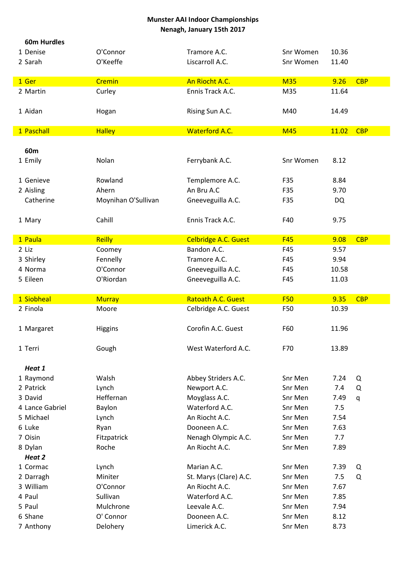| <b>60m Hurdles</b> |                     |                             |            |       |            |
|--------------------|---------------------|-----------------------------|------------|-------|------------|
| 1 Denise           | O'Connor            | Tramore A.C.                | Snr Women  | 10.36 |            |
| 2 Sarah            | O'Keeffe            | Liscarroll A.C.             | Snr Women  | 11.40 |            |
|                    |                     |                             |            |       |            |
| 1 Ger              | Cremin              | An Riocht A.C.              | <b>M35</b> | 9.26  | <b>CBP</b> |
| 2 Martin           | Curley              | Ennis Track A.C.            | M35        | 11.64 |            |
|                    |                     |                             |            |       |            |
| 1 Aidan            | Hogan               | Rising Sun A.C.             | M40        | 14.49 |            |
|                    |                     |                             |            |       |            |
| 1 Paschall         | <b>Halley</b>       | <b>Waterford A.C.</b>       | <b>M45</b> | 11.02 | <b>CBP</b> |
|                    |                     |                             |            |       |            |
| 60 <sub>m</sub>    |                     |                             |            |       |            |
| 1 Emily            | Nolan               | Ferrybank A.C.              | Snr Women  | 8.12  |            |
|                    |                     |                             |            |       |            |
| 1 Genieve          | Rowland             | Templemore A.C.             | F35        | 8.84  |            |
| 2 Aisling          | Ahern               | An Bru A.C                  | F35        | 9.70  |            |
| Catherine          | Moynihan O'Sullivan | Gneeveguilla A.C.           | F35        | DQ    |            |
|                    |                     |                             |            |       |            |
| 1 Mary             | Cahill              | Ennis Track A.C.            | F40        | 9.75  |            |
| 1 Paula            | <b>Reilly</b>       | <b>Celbridge A.C. Guest</b> | <b>F45</b> | 9.08  | <b>CBP</b> |
| 2 Liz              | Coomey              | Bandon A.C.                 | F45        | 9.57  |            |
| 3 Shirley          | Fennelly            | Tramore A.C.                | F45        | 9.94  |            |
| 4 Norma            | O'Connor            | Gneeveguilla A.C.           | F45        | 10.58 |            |
| 5 Eileen           | O'Riordan           | Gneeveguilla A.C.           | F45        | 11.03 |            |
|                    |                     |                             |            |       |            |
|                    |                     |                             |            |       |            |
| 1 Siobheal         | <b>Murray</b>       | Ratoath A.C. Guest          | <b>F50</b> | 9.35  | <b>CBP</b> |
| 2 Finola           | Moore               | Celbridge A.C. Guest        | F50        | 10.39 |            |
|                    |                     |                             |            |       |            |
| 1 Margaret         | <b>Higgins</b>      | Corofin A.C. Guest          | F60        | 11.96 |            |
|                    |                     |                             |            |       |            |
| 1 Terri            | Gough               | West Waterford A.C.         | F70        | 13.89 |            |
|                    |                     |                             |            |       |            |
| Heat 1             |                     |                             |            |       |            |
| 1 Raymond          | Walsh               | Abbey Striders A.C.         | Snr Men    | 7.24  | Q          |
| 2 Patrick          | Lynch               | Newport A.C.                | Snr Men    | 7.4   | Q          |
| 3 David            | Heffernan           | Moyglass A.C.               | Snr Men    | 7.49  | q          |
| 4 Lance Gabriel    | Baylon              | Waterford A.C.              | Snr Men    | 7.5   |            |
| 5 Michael          | Lynch               | An Riocht A.C.              | Snr Men    | 7.54  |            |
| 6 Luke             | Ryan                | Dooneen A.C.                | Snr Men    | 7.63  |            |
| 7 Oisin            | Fitzpatrick         | Nenagh Olympic A.C.         | Snr Men    | 7.7   |            |
| 8 Dylan            | Roche               | An Riocht A.C.              | Snr Men    | 7.89  |            |
| Heat 2             |                     |                             |            |       |            |
| 1 Cormac           | Lynch               | Marian A.C.                 | Snr Men    | 7.39  | Q          |
| 2 Darragh          | Miniter             | St. Marys (Clare) A.C.      | Snr Men    | 7.5   | Q          |
| 3 William          | O'Connor            | An Riocht A.C.              | Snr Men    | 7.67  |            |
| 4 Paul             | Sullivan            | Waterford A.C.              | Snr Men    | 7.85  |            |
| 5 Paul             | Mulchrone           | Leevale A.C.                | Snr Men    | 7.94  |            |
| 6 Shane            | O' Connor           | Dooneen A.C.                | Snr Men    | 8.12  |            |
| 7 Anthony          | Delohery            | Limerick A.C.               | Snr Men    | 8.73  |            |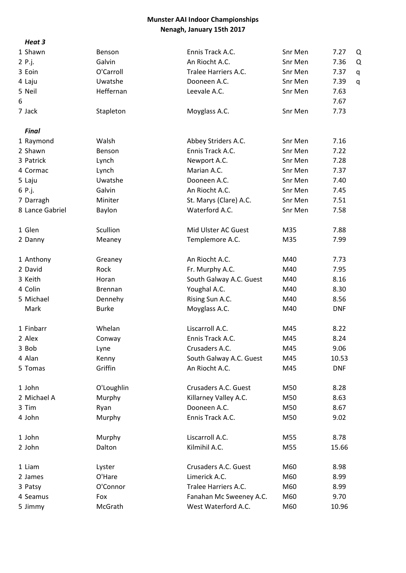Heat 3

| неат з          |                |                         |         |            |
|-----------------|----------------|-------------------------|---------|------------|
| 1 Shawn         | Benson         | Ennis Track A.C.        | Snr Men | 7.27<br>Q  |
| 2 P.j.          | Galvin         | An Riocht A.C.          | Snr Men | 7.36<br>Q  |
| 3 Eoin          | O'Carroll      | Tralee Harriers A.C.    | Snr Men | 7.37<br>q  |
| 4 Laju          | Uwatshe        | Dooneen A.C.            | Snr Men | 7.39<br>q  |
| 5 Neil          | Heffernan      | Leevale A.C.            | Snr Men | 7.63       |
| 6               |                |                         |         | 7.67       |
| 7 Jack          | Stapleton      | Moyglass A.C.           | Snr Men | 7.73       |
| Final           |                |                         |         |            |
| 1 Raymond       | Walsh          | Abbey Striders A.C.     | Snr Men | 7.16       |
| 2 Shawn         | Benson         | Ennis Track A.C.        | Snr Men | 7.22       |
| 3 Patrick       | Lynch          | Newport A.C.            | Snr Men | 7.28       |
| 4 Cormac        | Lynch          | Marian A.C.             | Snr Men | 7.37       |
| 5 Laju          | Uwatshe        | Dooneen A.C.            | Snr Men | 7.40       |
|                 | Galvin         | An Riocht A.C.          | Snr Men | 7.45       |
| 6 P.j.          |                |                         | Snr Men |            |
| 7 Darragh       | Miniter        | St. Marys (Clare) A.C.  |         | 7.51       |
| 8 Lance Gabriel | Baylon         | Waterford A.C.          | Snr Men | 7.58       |
| 1 Glen          | Scullion       | Mid Ulster AC Guest     | M35     | 7.88       |
| 2 Danny         | Meaney         | Templemore A.C.         | M35     | 7.99       |
| 1 Anthony       | Greaney        | An Riocht A.C.          | M40     | 7.73       |
| 2 David         | Rock           | Fr. Murphy A.C.         | M40     | 7.95       |
| 3 Keith         | Horan          | South Galway A.C. Guest | M40     | 8.16       |
| 4 Colin         | <b>Brennan</b> | Youghal A.C.            | M40     | 8.30       |
| 5 Michael       | Dennehy        | Rising Sun A.C.         | M40     | 8.56       |
| Mark            | <b>Burke</b>   | Moyglass A.C.           | M40     | <b>DNF</b> |
|                 |                |                         |         |            |
| 1 Finbarr       | Whelan         | Liscarroll A.C.         | M45     | 8.22       |
| 2 Alex          | Conway         | Ennis Track A.C.        | M45     | 8.24       |
| 3 Bob           | Lyne           | Crusaders A.C.          | M45     | 9.06       |
| 4 Alan          | Kenny          | South Galway A.C. Guest | M45     | 10.53      |
| 5 Tomas         | Griffin        | An Riocht A.C.          | M45     | <b>DNF</b> |
| 1 John          | O'Loughlin     | Crusaders A.C. Guest    | M50     | 8.28       |
| 2 Michael A     | Murphy         | Killarney Valley A.C.   | M50     | 8.63       |
| 3 Tim           | Ryan           | Dooneen A.C.            | M50     | 8.67       |
| 4 John          | Murphy         | Ennis Track A.C.        | M50     | 9.02       |
|                 |                |                         |         |            |
| 1 John          | Murphy         | Liscarroll A.C.         | M55     | 8.78       |
| 2 John          | Dalton         | Kilmihil A.C.           | M55     | 15.66      |
| 1 Liam          | Lyster         | Crusaders A.C. Guest    | M60     | 8.98       |
| 2 James         | O'Hare         | Limerick A.C.           | M60     | 8.99       |
| 3 Patsy         | O'Connor       | Tralee Harriers A.C.    | M60     | 8.99       |
| 4 Seamus        | Fox            | Fanahan Mc Sweeney A.C. | M60     | 9.70       |
| 5 Jimmy         | McGrath        | West Waterford A.C.     | M60     | 10.96      |
|                 |                |                         |         |            |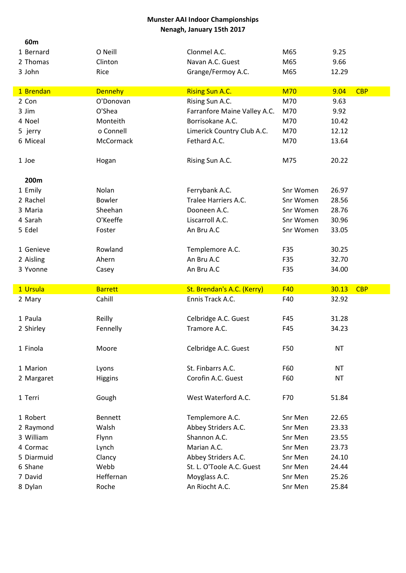| 60m                |                    |                                 |                    |                |            |
|--------------------|--------------------|---------------------------------|--------------------|----------------|------------|
| 1 Bernard          | O Neill            | Clonmel A.C.                    | M65                | 9.25           |            |
| 2 Thomas           | Clinton            | Navan A.C. Guest                | M65                | 9.66           |            |
| 3 John             | Rice               | Grange/Fermoy A.C.              | M65                | 12.29          |            |
|                    |                    |                                 |                    |                |            |
| 1 Brendan          | <b>Dennehy</b>     | <b>Rising Sun A.C.</b>          | <b>M70</b>         | 9.04           | <b>CBP</b> |
| 2 Con              | O'Donovan          | Rising Sun A.C.                 | M70                | 9.63           |            |
| 3 Jim              | O'Shea             | Farranfore Maine Valley A.C.    | M70                | 9.92           |            |
| 4 Noel             | Monteith           | Borrisokane A.C.                | M70                | 10.42          |            |
| 5 jerry            | o Connell          | Limerick Country Club A.C.      | M70                | 12.12          |            |
| 6 Miceal           | McCormack          | Fethard A.C.                    | M70                | 13.64          |            |
| 1 Joe              | Hogan              | Rising Sun A.C.                 | M75                | 20.22          |            |
| 200m               |                    |                                 |                    |                |            |
| 1 Emily            | Nolan              | Ferrybank A.C.                  | Snr Women          | 26.97          |            |
| 2 Rachel           | <b>Bowler</b>      | Tralee Harriers A.C.            | Snr Women          | 28.56          |            |
| 3 Maria            | Sheehan            | Dooneen A.C.                    | Snr Women          | 28.76          |            |
| 4 Sarah            | O'Keeffe           | Liscarroll A.C.                 | Snr Women          | 30.96          |            |
| 5 Edel             | Foster             | An Bru A.C                      | Snr Women          | 33.05          |            |
|                    |                    |                                 |                    |                |            |
| 1 Genieve          | Rowland            | Templemore A.C.                 | F35                | 30.25          |            |
| 2 Aisling          | Ahern              | An Bru A.C                      | F35                | 32.70          |            |
| 3 Yvonne           | Casey              | An Bru A.C                      | F35                | 34.00          |            |
|                    |                    |                                 |                    |                |            |
|                    |                    |                                 |                    |                |            |
| 1 Ursula           | <b>Barrett</b>     | St. Brendan's A.C. (Kerry)      | F40                | 30.13          | <b>CBP</b> |
| 2 Mary             | Cahill             | Ennis Track A.C.                | F40                | 32.92          |            |
|                    |                    |                                 |                    |                |            |
| 1 Paula            | Reilly             | Celbridge A.C. Guest            | F45                | 31.28          |            |
| 2 Shirley          | Fennelly           | Tramore A.C.                    | F45                | 34.23          |            |
| 1 Finola           | Moore              | Celbridge A.C. Guest            | F50                | <b>NT</b>      |            |
|                    |                    |                                 |                    |                |            |
| 1 Marion           | Lyons              | St. Finbarrs A.C.               | F60                | <b>NT</b>      |            |
| 2 Margaret         | Higgins            | Corofin A.C. Guest              | F60                | <b>NT</b>      |            |
|                    |                    |                                 |                    |                |            |
| 1 Terri            | Gough              | West Waterford A.C.             | F70                | 51.84          |            |
|                    |                    |                                 |                    |                |            |
| 1 Robert           | <b>Bennett</b>     | Templemore A.C.                 | Snr Men            | 22.65          |            |
| 2 Raymond          | Walsh              | Abbey Striders A.C.             | Snr Men            | 23.33          |            |
| 3 William          | Flynn              | Shannon A.C.                    | Snr Men            | 23.55          |            |
| 4 Cormac           | Lynch              | Marian A.C.                     | Snr Men            | 23.73          |            |
| 5 Diarmuid         | Clancy             | Abbey Striders A.C.             | Snr Men            | 24.10          |            |
| 6 Shane            | Webb               | St. L. O'Toole A.C. Guest       | Snr Men            | 24.44          |            |
| 7 David<br>8 Dylan | Heffernan<br>Roche | Moyglass A.C.<br>An Riocht A.C. | Snr Men<br>Snr Men | 25.26<br>25.84 |            |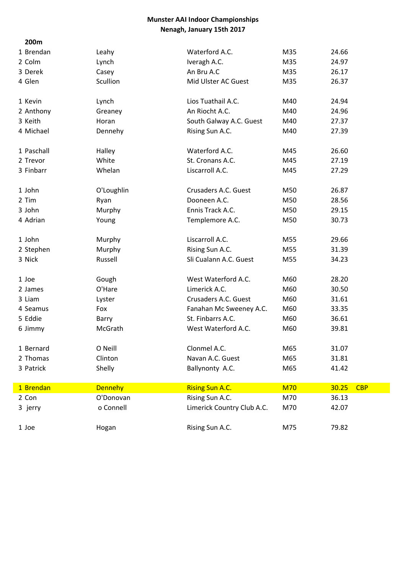| 200m       |                |                            |            |                     |  |
|------------|----------------|----------------------------|------------|---------------------|--|
| 1 Brendan  | Leahy          | Waterford A.C.             | M35        | 24.66               |  |
| 2 Colm     | Lynch          | Iveragh A.C.               | M35        | 24.97               |  |
| 3 Derek    | Casey          | An Bru A.C                 | M35        | 26.17               |  |
| 4 Glen     | Scullion       | Mid Ulster AC Guest        | M35        | 26.37               |  |
| 1 Kevin    | Lynch          | Lios Tuathail A.C.         | M40        | 24.94               |  |
| 2 Anthony  | Greaney        | An Riocht A.C.             | M40        | 24.96               |  |
| 3 Keith    | Horan          | South Galway A.C. Guest    | M40        | 27.37               |  |
| 4 Michael  | Dennehy        | Rising Sun A.C.            | M40        | 27.39               |  |
| 1 Paschall | Halley         | Waterford A.C.             | M45        | 26.60               |  |
| 2 Trevor   | White          | St. Cronans A.C.           | M45        | 27.19               |  |
| 3 Finbarr  | Whelan         | Liscarroll A.C.            | M45        | 27.29               |  |
| 1 John     | O'Loughlin     | Crusaders A.C. Guest       | M50        | 26.87               |  |
| 2 Tim      | Ryan           | Dooneen A.C.               | M50        | 28.56               |  |
| 3 John     | Murphy         | Ennis Track A.C.           | M50        | 29.15               |  |
| 4 Adrian   | Young          | Templemore A.C.            | M50        | 30.73               |  |
| 1 John     | Murphy         | Liscarroll A.C.            | M55        | 29.66               |  |
| 2 Stephen  | Murphy         | Rising Sun A.C.            | M55        | 31.39               |  |
| 3 Nick     | Russell        | Sli Cualann A.C. Guest     | M55        | 34.23               |  |
| 1 Joe      | Gough          | West Waterford A.C.        | M60        | 28.20               |  |
| 2 James    | O'Hare         | Limerick A.C.              | M60        | 30.50               |  |
| 3 Liam     | Lyster         | Crusaders A.C. Guest       | M60        | 31.61               |  |
| 4 Seamus   | Fox            | Fanahan Mc Sweeney A.C.    | M60        | 33.35               |  |
| 5 Eddie    | Barry          | St. Finbarrs A.C.          | M60        | 36.61               |  |
| 6 Jimmy    | McGrath        | West Waterford A.C.        | M60        | 39.81               |  |
| 1 Bernard  | O Neill        | Clonmel A.C.               | M65        | 31.07               |  |
| 2 Thomas   | Clinton        | Navan A.C. Guest           | M65        | 31.81               |  |
| 3 Patrick  | Shelly         | Ballynonty A.C.            | M65        | 41.42               |  |
| 1 Brendan  | <b>Dennehy</b> | <b>Rising Sun A.C.</b>     | <b>M70</b> | 30.25<br><b>CBP</b> |  |
| 2 Con      | O'Donovan      | Rising Sun A.C.            | M70        | 36.13               |  |
| 3 jerry    | o Connell      | Limerick Country Club A.C. | M70        | 42.07               |  |
| 1 Joe      | Hogan          | Rising Sun A.C.            | M75        | 79.82               |  |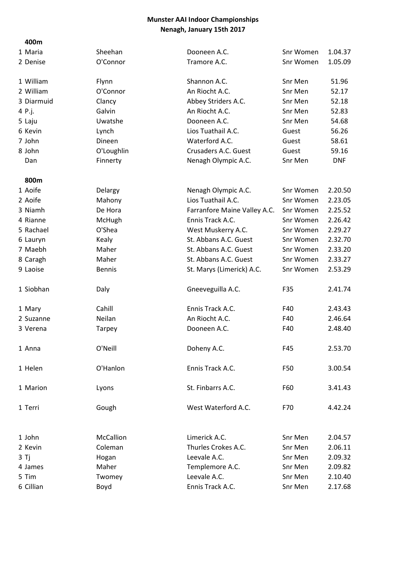### 400m

| 400III     |               |                              |           |            |
|------------|---------------|------------------------------|-----------|------------|
| 1 Maria    | Sheehan       | Dooneen A.C.                 | Snr Women | 1.04.37    |
| 2 Denise   | O'Connor      | Tramore A.C.                 | Snr Women | 1.05.09    |
| 1 William  | Flynn         | Shannon A.C.                 | Snr Men   | 51.96      |
| 2 William  | O'Connor      | An Riocht A.C.               | Snr Men   | 52.17      |
| 3 Diarmuid | Clancy        | Abbey Striders A.C.          | Snr Men   | 52.18      |
| 4 P.j.     | Galvin        | An Riocht A.C.               | Snr Men   | 52.83      |
| 5 Laju     | Uwatshe       | Dooneen A.C.                 | Snr Men   | 54.68      |
| 6 Kevin    | Lynch         | Lios Tuathail A.C.           | Guest     | 56.26      |
| 7 John     | Dineen        | Waterford A.C.               | Guest     | 58.61      |
| 8 John     | O'Loughlin    | Crusaders A.C. Guest         | Guest     | 59.16      |
| Dan        | Finnerty      | Nenagh Olympic A.C.          | Snr Men   | <b>DNF</b> |
| 800m       |               |                              |           |            |
| 1 Aoife    | Delargy       | Nenagh Olympic A.C.          | Snr Women | 2.20.50    |
| 2 Aoife    | Mahony        | Lios Tuathail A.C.           | Snr Women | 2.23.05    |
| 3 Niamh    | De Hora       | Farranfore Maine Valley A.C. | Snr Women | 2.25.52    |
| 4 Rianne   | McHugh        | Ennis Track A.C.             | Snr Women | 2.26.42    |
| 5 Rachael  | O'Shea        | West Muskerry A.C.           | Snr Women | 2.29.27    |
| 6 Lauryn   | Kealy         | St. Abbans A.C. Guest        | Snr Women | 2.32.70    |
| 7 Maebh    | Maher         | St. Abbans A.C. Guest        | Snr Women | 2.33.20    |
| 8 Caragh   | Maher         | St. Abbans A.C. Guest        | Snr Women | 2.33.27    |
| 9 Laoise   | <b>Bennis</b> | St. Marys (Limerick) A.C.    | Snr Women | 2.53.29    |
| 1 Siobhan  | Daly          | Gneeveguilla A.C.            | F35       | 2.41.74    |
| 1 Mary     | Cahill        | Ennis Track A.C.             | F40       | 2.43.43    |
| 2 Suzanne  | Neilan        | An Riocht A.C.               | F40       | 2.46.64    |
| 3 Verena   | Tarpey        | Dooneen A.C.                 | F40       | 2.48.40    |
| 1 Anna     | O'Neill       | Doheny A.C.                  | F45       | 2.53.70    |
| 1 Helen    | O'Hanlon      | Ennis Track A.C.             | F50       | 3.00.54    |
| 1 Marion   | Lyons         | St. Finbarrs A.C.            | F60       | 3.41.43    |
| 1 Terri    | Gough         | West Waterford A.C.          | F70       | 4.42.24    |
| 1 John     | McCallion     | Limerick A.C.                | Snr Men   | 2.04.57    |
| 2 Kevin    | Coleman       | Thurles Crokes A.C.          | Snr Men   | 2.06.11    |
| 3 Tj       | Hogan         | Leevale A.C.                 | Snr Men   | 2.09.32    |
| 4 James    | Maher         | Templemore A.C.              | Snr Men   | 2.09.82    |
| 5 Tim      | Twomey        | Leevale A.C.                 | Snr Men   | 2.10.40    |
| 6 Cillian  | Boyd          | Ennis Track A.C.             | Snr Men   | 2.17.68    |
|            |               |                              |           |            |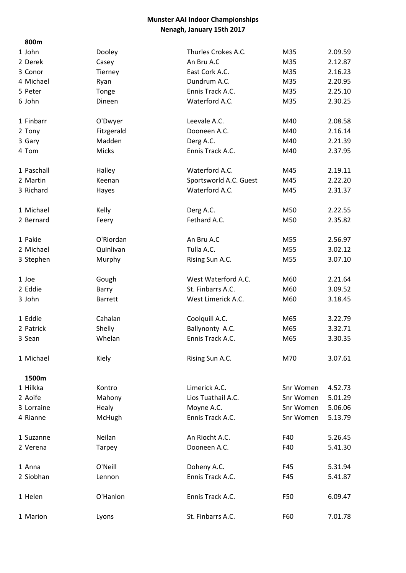| 800m       |                |                        |           |         |
|------------|----------------|------------------------|-----------|---------|
| 1 John     | Dooley         | Thurles Crokes A.C.    | M35       | 2.09.59 |
| 2 Derek    | Casey          | An Bru A.C             | M35       | 2.12.87 |
| 3 Conor    | Tierney        | East Cork A.C.         | M35       | 2.16.23 |
| 4 Michael  | Ryan           | Dundrum A.C.           | M35       | 2.20.95 |
| 5 Peter    | Tonge          | Ennis Track A.C.       | M35       | 2.25.10 |
| 6 John     | Dineen         | Waterford A.C.         | M35       | 2.30.25 |
| 1 Finbarr  | O'Dwyer        | Leevale A.C.           | M40       | 2.08.58 |
| 2 Tony     | Fitzgerald     | Dooneen A.C.           | M40       | 2.16.14 |
| 3 Gary     | Madden         | Derg A.C.              | M40       | 2.21.39 |
| 4 Tom      | Micks          | Ennis Track A.C.       | M40       | 2.37.95 |
| 1 Paschall | Halley         | Waterford A.C.         | M45       | 2.19.11 |
| 2 Martin   | Keenan         | Sportsworld A.C. Guest | M45       | 2.22.20 |
| 3 Richard  | Hayes          | Waterford A.C.         | M45       | 2.31.37 |
| 1 Michael  | Kelly          | Derg A.C.              | M50       | 2.22.55 |
| 2 Bernard  | Feery          | Fethard A.C.           | M50       | 2.35.82 |
| 1 Pakie    | O'Riordan      | An Bru A.C             | M55       | 2.56.97 |
| 2 Michael  | Quinlivan      | Tulla A.C.             | M55       | 3.02.12 |
| 3 Stephen  | Murphy         | Rising Sun A.C.        | M55       | 3.07.10 |
| 1 Joe      | Gough          | West Waterford A.C.    | M60       | 2.21.64 |
| 2 Eddie    | Barry          | St. Finbarrs A.C.      | M60       | 3.09.52 |
| 3 John     | <b>Barrett</b> | West Limerick A.C.     | M60       | 3.18.45 |
| 1 Eddie    | Cahalan        | Coolquill A.C.         | M65       | 3.22.79 |
| 2 Patrick  | Shelly         | Ballynonty A.C.        | M65       | 3.32.71 |
| 3 Sean     | Whelan         | Ennis Track A.C.       | M65       | 3.30.35 |
| 1 Michael  | Kiely          | Rising Sun A.C.        | M70       | 3.07.61 |
| 1500m      |                |                        |           |         |
| 1 Hilkka   | Kontro         | Limerick A.C.          | Snr Women | 4.52.73 |
| 2 Aoife    | Mahony         | Lios Tuathail A.C.     | Snr Women | 5.01.29 |
| 3 Lorraine | Healy          | Moyne A.C.             | Snr Women | 5.06.06 |
| 4 Rianne   | McHugh         | Ennis Track A.C.       | Snr Women | 5.13.79 |
| 1 Suzanne  | Neilan         | An Riocht A.C.         | F40       | 5.26.45 |
| 2 Verena   | <b>Tarpey</b>  | Dooneen A.C.           | F40       | 5.41.30 |
| 1 Anna     | O'Neill        | Doheny A.C.            | F45       | 5.31.94 |
| 2 Siobhan  | Lennon         | Ennis Track A.C.       | F45       | 5.41.87 |
| 1 Helen    | O'Hanlon       | Ennis Track A.C.       | F50       | 6.09.47 |
| 1 Marion   | Lyons          | St. Finbarrs A.C.      | F60       | 7.01.78 |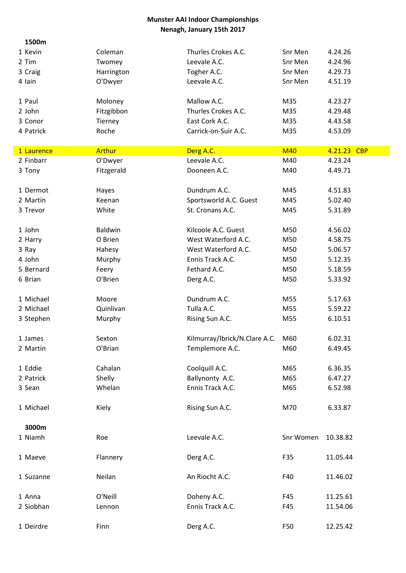| 1500m      |            |                               |            |             |
|------------|------------|-------------------------------|------------|-------------|
| 1 Kevin    | Coleman    | Thurles Crokes A.C.           | Snr Men    | 4.24.26     |
| 2 Tim      | Twomey     | Leevale A.C.                  | Snr Men    | 4.24.96     |
| 3 Craig    | Harrington | Togher A.C.                   | Snr Men    | 4.29.73     |
| 4 Iain     | O'Dwyer    | Leevale A.C.                  | Snr Men    | 4.51.19     |
|            |            |                               |            |             |
| 1 Paul     | Moloney    | Mallow A.C.                   | M35        | 4.23.27     |
| 2 John     | Fitzgibbon | Thurles Crokes A.C.           | M35        | 4.29.48     |
| 3 Conor    | Tierney    | East Cork A.C.                | M35        | 4.43.58     |
| 4 Patrick  | Roche      | Carrick-on-Suir A.C.          | M35        | 4.53.09     |
|            |            |                               |            |             |
| 1 Laurence | Arthur     | Derg A.C.                     | <b>M40</b> | 4.21.23 CBP |
| 2 Finbarr  | O'Dwyer    | Leevale A.C.                  | M40        | 4.23.24     |
| 3 Tony     | Fitzgerald | Dooneen A.C.                  | M40        | 4.49.71     |
|            |            |                               |            |             |
| 1 Dermot   | Hayes      | Dundrum A.C.                  | M45        | 4.51.83     |
| 2 Martin   | Keenan     | Sportsworld A.C. Guest        | M45        | 5.02.40     |
| 3 Trevor   | White      | St. Cronans A.C.              | M45        | 5.31.89     |
|            |            |                               |            |             |
| 1 John     | Baldwin    | Kilcoole A.C. Guest           | M50        | 4.56.02     |
| 2 Harry    | O Brien    | West Waterford A.C.           | M50        | 4.58.75     |
| 3 Ray      | Hahesy     | West Waterford A.C.           | M50        | 5.06.57     |
| 4 John     | Murphy     | Ennis Track A.C.              | M50        | 5.12.35     |
| 5 Bernard  | Feery      | Fethard A.C.                  | M50        | 5.18.59     |
| 6 Brian    | O'Brien    | Derg A.C.                     | M50        | 5.33.92     |
|            |            |                               |            |             |
| 1 Michael  | Moore      | Dundrum A.C.                  | M55        | 5.17.63     |
| 2 Michael  | Quinlivan  | Tulla A.C.                    | M55        | 5.59.22     |
| 3 Stephen  | Murphy     | Rising Sun A.C.               | M55        | 6.10.51     |
|            |            |                               |            |             |
| 1 James    | Sexton     | Kilmurray/Ibrick/N.Clare A.C. | M60        | 6.02.31     |
| 2 Martin   | O'Brian    | Templemore A.C.               | M60        | 6.49.45     |
|            |            |                               |            |             |
| 1 Eddie    | Cahalan    | Coolquill A.C.                | M65        | 6.36.35     |
| 2 Patrick  | Shelly     | Ballynonty A.C.               | M65        | 6.47.27     |
| 3 Sean     | Whelan     | Ennis Track A.C.              | M65        | 6.52.98     |
|            |            |                               |            |             |
| 1 Michael  | Kiely      | Rising Sun A.C.               | M70        | 6.33.87     |
|            |            |                               |            |             |
| 3000m      |            |                               |            |             |
| 1 Niamh    | Roe        | Leevale A.C.                  | Snr Women  | 10.38.82    |
|            |            |                               |            |             |
| 1 Maeve    | Flannery   | Derg A.C.                     | F35        | 11.05.44    |
|            |            |                               |            |             |
| 1 Suzanne  | Neilan     | An Riocht A.C.                | F40        | 11.46.02    |
|            |            |                               |            |             |
| 1 Anna     | O'Neill    | Doheny A.C.                   | F45        | 11.25.61    |
| 2 Siobhan  | Lennon     | Ennis Track A.C.              | F45        | 11.54.06    |
|            |            |                               |            |             |
| 1 Deirdre  | Finn       | Derg A.C.                     | F50        | 12.25.42    |
|            |            |                               |            |             |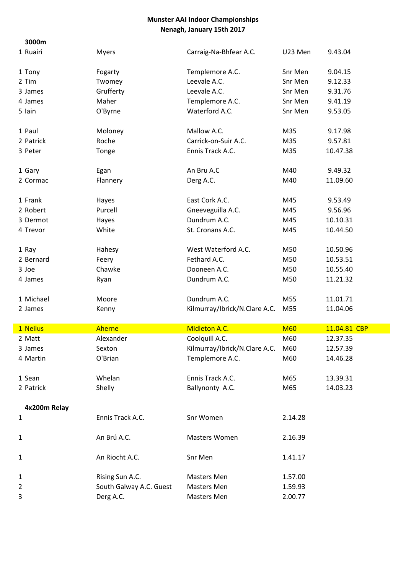| 3000m        |                         |                               |            |              |
|--------------|-------------------------|-------------------------------|------------|--------------|
| 1 Ruairi     | <b>Myers</b>            | Carraig-Na-Bhfear A.C.        | U23 Men    | 9.43.04      |
| 1 Tony       | Fogarty                 | Templemore A.C.               | Snr Men    | 9.04.15      |
| 2 Tim        | Twomey                  | Leevale A.C.                  | Snr Men    | 9.12.33      |
| 3 James      | Grufferty               | Leevale A.C.                  | Snr Men    | 9.31.76      |
| 4 James      | Maher                   | Templemore A.C.               | Snr Men    | 9.41.19      |
| 5 Iain       | O'Byrne                 | Waterford A.C.                | Snr Men    | 9.53.05      |
| 1 Paul       | Moloney                 | Mallow A.C.                   | M35        | 9.17.98      |
| 2 Patrick    | Roche                   | Carrick-on-Suir A.C.          | M35        | 9.57.81      |
| 3 Peter      | Tonge                   | Ennis Track A.C.              | M35        | 10.47.38     |
| 1 Gary       | Egan                    | An Bru A.C                    | M40        | 9.49.32      |
| 2 Cormac     | Flannery                | Derg A.C.                     | M40        | 11.09.60     |
| 1 Frank      | Hayes                   | East Cork A.C.                | M45        | 9.53.49      |
| 2 Robert     | Purcell                 | Gneeveguilla A.C.             | M45        | 9.56.96      |
| 3 Dermot     | Hayes                   | Dundrum A.C.                  | M45        | 10.10.31     |
| 4 Trevor     | White                   | St. Cronans A.C.              | M45        | 10.44.50     |
| 1 Ray        | Hahesy                  | West Waterford A.C.           | M50        | 10.50.96     |
| 2 Bernard    | Feery                   | Fethard A.C.                  | M50        | 10.53.51     |
| 3 Joe        | Chawke                  | Dooneen A.C.                  | M50        | 10.55.40     |
| 4 James      | Ryan                    | Dundrum A.C.                  | M50        | 11.21.32     |
| 1 Michael    | Moore                   | Dundrum A.C.                  | M55        | 11.01.71     |
| 2 James      | Kenny                   | Kilmurray/Ibrick/N.Clare A.C. | M55        | 11.04.06     |
| 1 Neilus     | Aherne                  | Midleton A.C.                 | <b>M60</b> | 11.04.81 CBP |
| 2 Matt       | Alexander               | Coolquill A.C.                | M60        | 12.37.35     |
| 3 James      | Sexton                  | Kilmurray/Ibrick/N.Clare A.C. | M60        | 12.57.39     |
| 4 Martin     | O'Brian                 | Templemore A.C.               | M60        | 14.46.28     |
| 1 Sean       | Whelan                  | Ennis Track A.C.              | M65        | 13.39.31     |
| 2 Patrick    | Shelly                  | Ballynonty A.C.               | M65        | 14.03.23     |
| 4x200m Relay |                         |                               |            |              |
| 1            | Ennis Track A.C.        | Snr Women                     | 2.14.28    |              |
| 1            | An Brú A.C.             | Masters Women                 | 2.16.39    |              |
| $\mathbf{1}$ | An Riocht A.C.          | Snr Men                       | 1.41.17    |              |
| 1            | Rising Sun A.C.         | Masters Men                   | 1.57.00    |              |
| 2            | South Galway A.C. Guest | Masters Men                   | 1.59.93    |              |
| 3            | Derg A.C.               | Masters Men                   | 2.00.77    |              |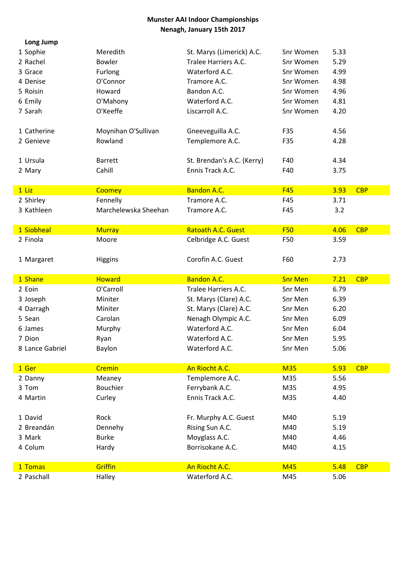| Long Jump       |                      |                            |                |      |            |
|-----------------|----------------------|----------------------------|----------------|------|------------|
| 1 Sophie        | Meredith             | St. Marys (Limerick) A.C.  | Snr Women      | 5.33 |            |
| 2 Rachel        | Bowler               | Tralee Harriers A.C.       | Snr Women      | 5.29 |            |
| 3 Grace         | Furlong              | Waterford A.C.             | Snr Women      | 4.99 |            |
| 4 Denise        | O'Connor             | Tramore A.C.               | Snr Women      | 4.98 |            |
| 5 Roisin        | Howard               | Bandon A.C.                | Snr Women      | 4.96 |            |
| 6 Emily         | O'Mahony             | Waterford A.C.             | Snr Women      | 4.81 |            |
| 7 Sarah         | O'Keeffe             | Liscarroll A.C.            | Snr Women      | 4.20 |            |
| 1 Catherine     | Moynihan O'Sullivan  | Gneeveguilla A.C.          | F35            | 4.56 |            |
| 2 Genieve       | Rowland              | Templemore A.C.            | F35            | 4.28 |            |
| 1 Ursula        | <b>Barrett</b>       | St. Brendan's A.C. (Kerry) | F40            | 4.34 |            |
| 2 Mary          | Cahill               | Ennis Track A.C.           | F40            | 3.75 |            |
| $1$ Liz         | Coomey               | <b>Bandon A.C.</b>         | <b>F45</b>     | 3.93 | <b>CBP</b> |
| 2 Shirley       | Fennelly             | Tramore A.C.               | F45            | 3.71 |            |
| 3 Kathleen      | Marchelewska Sheehan | Tramore A.C.               | F45            | 3.2  |            |
| 1 Siobheal      | <b>Murray</b>        | <b>Ratoath A.C. Guest</b>  | <b>F50</b>     | 4.06 | <b>CBP</b> |
| 2 Finola        | Moore                | Celbridge A.C. Guest       | F50            | 3.59 |            |
| 1 Margaret      | <b>Higgins</b>       | Corofin A.C. Guest         | F60            | 2.73 |            |
| 1 Shane         | <b>Howard</b>        | <b>Bandon A.C.</b>         | <b>Snr Men</b> | 7.21 | <b>CBP</b> |
| 2 Eoin          | O'Carroll            | Tralee Harriers A.C.       | Snr Men        | 6.79 |            |
| 3 Joseph        | Miniter              | St. Marys (Clare) A.C.     | Snr Men        | 6.39 |            |
| 4 Darragh       | Miniter              | St. Marys (Clare) A.C.     | Snr Men        | 6.20 |            |
| 5 Sean          | Carolan              | Nenagh Olympic A.C.        | Snr Men        | 6.09 |            |
| 6 James         | Murphy               | Waterford A.C.             | Snr Men        | 6.04 |            |
| 7 Dion          | Ryan                 | Waterford A.C.             | Snr Men        | 5.95 |            |
| 8 Lance Gabriel | Baylon               | Waterford A.C.             | Snr Men        | 5.06 |            |
| 1 Ger           | Cremin               | An Riocht A.C.             | <b>M35</b>     | 5.93 | <b>CBP</b> |
| 2 Danny         | Meaney               | Templemore A.C.            | M35            | 5.56 |            |
| 3 Tom           | <b>Bouchier</b>      | Ferrybank A.C.             | M35            | 4.95 |            |
| 4 Martin        | Curley               | Ennis Track A.C.           | M35            | 4.40 |            |
| 1 David         | Rock                 | Fr. Murphy A.C. Guest      | M40            | 5.19 |            |
| 2 Breandán      | Dennehy              | Rising Sun A.C.            | M40            | 5.19 |            |
| 3 Mark          | <b>Burke</b>         | Moyglass A.C.              | M40            | 4.46 |            |
| 4 Colum         | Hardy                | Borrisokane A.C.           | M40            | 4.15 |            |
| 1 Tomas         | Griffin              | An Riocht A.C.             | <b>M45</b>     | 5.48 | <b>CBP</b> |
| 2 Paschall      | Halley               | Waterford A.C.             | M45            | 5.06 |            |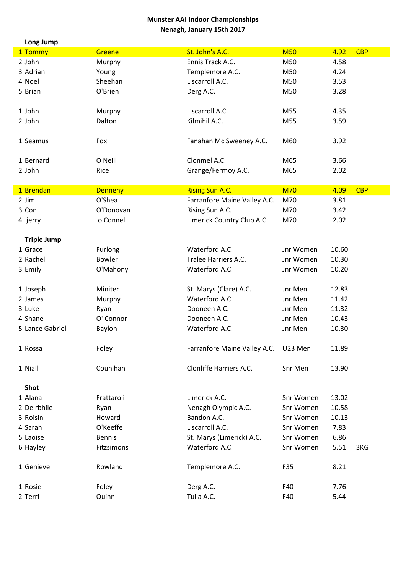| Long Jump          |                |                              |            |       |            |
|--------------------|----------------|------------------------------|------------|-------|------------|
| 1 Tommy            | Greene         | St. John's A.C.              | <b>M50</b> | 4.92  | <b>CBP</b> |
| 2 John             | Murphy         | Ennis Track A.C.             | M50        | 4.58  |            |
| 3 Adrian           | Young          | Templemore A.C.              | M50        | 4.24  |            |
| 4 Noel             | Sheehan        | Liscarroll A.C.              | M50        | 3.53  |            |
| 5 Brian            | O'Brien        | Derg A.C.                    | M50        | 3.28  |            |
|                    |                |                              |            |       |            |
| 1 John             | Murphy         | Liscarroll A.C.              | M55        | 4.35  |            |
| 2 John             | Dalton         | Kilmihil A.C.                | M55        | 3.59  |            |
|                    |                |                              |            |       |            |
| 1 Seamus           | Fox            | Fanahan Mc Sweeney A.C.      | M60        | 3.92  |            |
|                    |                |                              |            |       |            |
| 1 Bernard          | O Neill        | Clonmel A.C.                 | M65        | 3.66  |            |
| 2 John             | Rice           | Grange/Fermoy A.C.           | M65        | 2.02  |            |
| 1 Brendan          | <b>Dennehy</b> | <b>Rising Sun A.C.</b>       | <b>M70</b> | 4.09  | <b>CBP</b> |
| 2 Jim              | O'Shea         | Farranfore Maine Valley A.C. | M70        | 3.81  |            |
| 3 Con              | O'Donovan      | Rising Sun A.C.              | M70        | 3.42  |            |
| 4 jerry            | o Connell      | Limerick Country Club A.C.   | M70        | 2.02  |            |
|                    |                |                              |            |       |            |
| <b>Triple Jump</b> |                |                              |            |       |            |
| 1 Grace            | Furlong        | Waterford A.C.               | Jnr Women  | 10.60 |            |
| 2 Rachel           | <b>Bowler</b>  | Tralee Harriers A.C.         | Jnr Women  | 10.30 |            |
| 3 Emily            | O'Mahony       | Waterford A.C.               | Jnr Women  | 10.20 |            |
|                    |                |                              |            |       |            |
| 1 Joseph           | Miniter        | St. Marys (Clare) A.C.       | Jnr Men    | 12.83 |            |
| 2 James            | Murphy         | Waterford A.C.               | Jnr Men    | 11.42 |            |
| 3 Luke             | Ryan           | Dooneen A.C.                 | Jnr Men    | 11.32 |            |
| 4 Shane            | O' Connor      | Dooneen A.C.                 | Jnr Men    | 10.43 |            |
| 5 Lance Gabriel    | Baylon         | Waterford A.C.               | Jnr Men    | 10.30 |            |
|                    |                |                              |            |       |            |
| 1 Rossa            | Foley          | Farranfore Maine Valley A.C. | U23 Men    | 11.89 |            |
|                    |                |                              |            |       |            |
| 1 Niall            | Counihan       | Clonliffe Harriers A.C.      | Snr Men    | 13.90 |            |
| <b>Shot</b>        |                |                              |            |       |            |
| 1 Alana            | Frattaroli     | Limerick A.C.                | Snr Women  | 13.02 |            |
| 2 Deirbhile        | Ryan           | Nenagh Olympic A.C.          | Snr Women  | 10.58 |            |
| 3 Roisin           | Howard         | Bandon A.C.                  | Snr Women  | 10.13 |            |
| 4 Sarah            | O'Keeffe       | Liscarroll A.C.              | Snr Women  | 7.83  |            |
| 5 Laoise           | <b>Bennis</b>  | St. Marys (Limerick) A.C.    | Snr Women  | 6.86  |            |
| 6 Hayley           | Fitzsimons     | Waterford A.C.               | Snr Women  | 5.51  | 3KG        |
|                    |                |                              |            |       |            |
| 1 Genieve          | Rowland        | Templemore A.C.              | F35        | 8.21  |            |
|                    |                |                              |            |       |            |
| 1 Rosie            | Foley          | Derg A.C.                    | F40        | 7.76  |            |
| 2 Terri            | Quinn          | Tulla A.C.                   | F40        | 5.44  |            |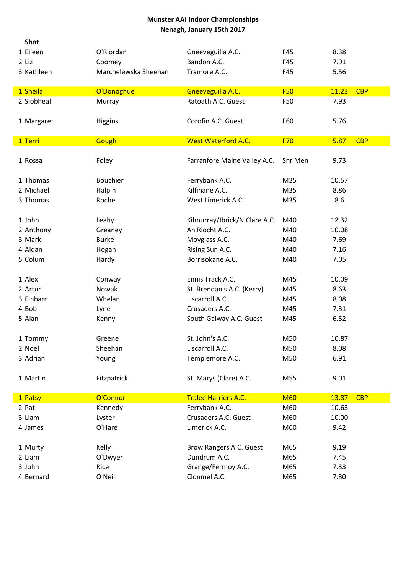| <b>Shot</b> |                      |                               |            |       |            |
|-------------|----------------------|-------------------------------|------------|-------|------------|
| 1 Eileen    | O'Riordan            | Gneeveguilla A.C.             | F45        | 8.38  |            |
| 2 Liz       | Coomey               | Bandon A.C.                   | F45        | 7.91  |            |
| 3 Kathleen  | Marchelewska Sheehan | Tramore A.C.                  | F45        | 5.56  |            |
| 1 Sheila    | O'Donoghue           | Gneeveguilla A.C.             | <b>F50</b> | 11.23 | <b>CBP</b> |
| 2 Siobheal  | Murray               | Ratoath A.C. Guest            | F50        | 7.93  |            |
| 1 Margaret  | Higgins              | Corofin A.C. Guest            | F60        | 5.76  |            |
| 1 Terri     | Gough                | <b>West Waterford A.C.</b>    | F70        | 5.87  | <b>CBP</b> |
| 1 Rossa     | Foley                | Farranfore Maine Valley A.C.  | Snr Men    | 9.73  |            |
| 1 Thomas    | <b>Bouchier</b>      | Ferrybank A.C.                | M35        | 10.57 |            |
| 2 Michael   | Halpin               | Kilfinane A.C.                | M35        | 8.86  |            |
| 3 Thomas    | Roche                | West Limerick A.C.            | M35        | 8.6   |            |
| 1 John      | Leahy                | Kilmurray/Ibrick/N.Clare A.C. | M40        | 12.32 |            |
| 2 Anthony   | Greaney              | An Riocht A.C.                | M40        | 10.08 |            |
| 3 Mark      | <b>Burke</b>         | Moyglass A.C.                 | M40        | 7.69  |            |
| 4 Aidan     | Hogan                | Rising Sun A.C.               | M40        | 7.16  |            |
| 5 Colum     | Hardy                | Borrisokane A.C.              | M40        | 7.05  |            |
| 1 Alex      | Conway               | Ennis Track A.C.              | M45        | 10.09 |            |
| 2 Artur     | Nowak                | St. Brendan's A.C. (Kerry)    | M45        | 8.63  |            |
| 3 Finbarr   | Whelan               | Liscarroll A.C.               | M45        | 8.08  |            |
| 4 Bob       | Lyne                 | Crusaders A.C.                | M45        | 7.31  |            |
| 5 Alan      | Kenny                | South Galway A.C. Guest       | M45        | 6.52  |            |
| 1 Tommy     | Greene               | St. John's A.C.               | M50        | 10.87 |            |
| 2 Noel      | Sheehan              | Liscarroll A.C.               | M50        | 8.08  |            |
| 3 Adrian    | Young                | Templemore A.C.               | M50        | 6.91  |            |
| 1 Martin    | Fitzpatrick          | St. Marys (Clare) A.C.        | M55        | 9.01  |            |
| 1 Patsy     | O'Connor             | <b>Tralee Harriers A.C.</b>   | <b>M60</b> | 13.87 | <b>CBP</b> |
| 2 Pat       | Kennedy              | Ferrybank A.C.                | M60        | 10.63 |            |
| 3 Liam      | Lyster               | Crusaders A.C. Guest          | M60        | 10.00 |            |
| 4 James     | O'Hare               | Limerick A.C.                 | M60        | 9.42  |            |
| 1 Murty     | Kelly                | Brow Rangers A.C. Guest       | M65        | 9.19  |            |
| 2 Liam      | O'Dwyer              | Dundrum A.C.                  | M65        | 7.45  |            |
| 3 John      | Rice                 | Grange/Fermoy A.C.            | M65        | 7.33  |            |
| 4 Bernard   | O Neill              | Clonmel A.C.                  | M65        | 7.30  |            |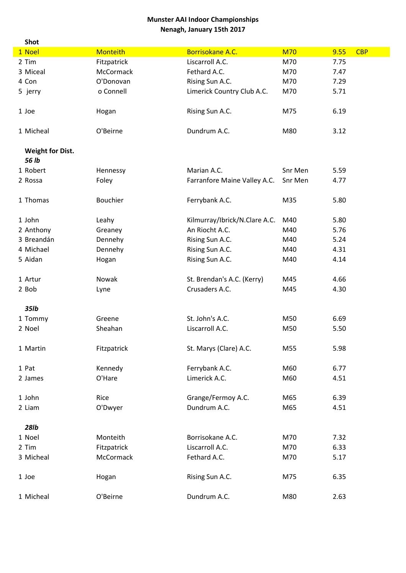| <b>Shot</b>             |                 |                               |            |                    |
|-------------------------|-----------------|-------------------------------|------------|--------------------|
| 1 Noel                  | <b>Monteith</b> | Borrisokane A.C.              | <b>M70</b> | <b>CBP</b><br>9.55 |
| 2 Tim                   | Fitzpatrick     | Liscarroll A.C.               | M70        | 7.75               |
| 3 Miceal                | McCormack       | Fethard A.C.                  | M70        | 7.47               |
| 4 Con                   | O'Donovan       | Rising Sun A.C.               | M70        | 7.29               |
| 5 jerry                 | o Connell       | Limerick Country Club A.C.    | M70        | 5.71               |
|                         |                 |                               |            |                    |
| 1 Joe                   | Hogan           | Rising Sun A.C.               | M75        | 6.19               |
|                         |                 |                               |            |                    |
| 1 Micheal               | O'Beirne        | Dundrum A.C.                  | M80        | 3.12               |
|                         |                 |                               |            |                    |
| <b>Weight for Dist.</b> |                 |                               |            |                    |
| 56 lb                   |                 |                               |            |                    |
| 1 Robert                | Hennessy        | Marian A.C.                   | Snr Men    | 5.59               |
| 2 Rossa                 | Foley           | Farranfore Maine Valley A.C.  | Snr Men    | 4.77               |
|                         |                 |                               |            |                    |
| 1 Thomas                | <b>Bouchier</b> | Ferrybank A.C.                | M35        | 5.80               |
|                         |                 |                               |            |                    |
| 1 John                  | Leahy           | Kilmurray/Ibrick/N.Clare A.C. | M40        | 5.80               |
| 2 Anthony               | Greaney         | An Riocht A.C.                | M40        | 5.76               |
| 3 Breandán              | Dennehy         | Rising Sun A.C.               | M40        | 5.24               |
| 4 Michael               | Dennehy         | Rising Sun A.C.               | M40        | 4.31               |
| 5 Aidan                 | Hogan           | Rising Sun A.C.               | M40        | 4.14               |
| 1 Artur                 | Nowak           | St. Brendan's A.C. (Kerry)    | M45        | 4.66               |
| 2 Bob                   | Lyne            | Crusaders A.C.                | M45        | 4.30               |
|                         |                 |                               |            |                    |
| 35lb                    |                 |                               |            |                    |
| 1 Tommy                 | Greene          | St. John's A.C.               | M50        | 6.69               |
| 2 Noel                  | Sheahan         | Liscarroll A.C.               | M50        | 5.50               |
|                         |                 |                               |            |                    |
| 1 Martin                | Fitzpatrick     | St. Marys (Clare) A.C.        | M55        | 5.98               |
|                         |                 |                               |            |                    |
| 1 Pat                   | Kennedy         | Ferrybank A.C.                | M60        | 6.77               |
| 2 James                 | O'Hare          | Limerick A.C.                 | M60        | 4.51               |
|                         |                 |                               |            |                    |
| 1 John                  | Rice            | Grange/Fermoy A.C.            | M65        | 6.39               |
| 2 Liam                  | O'Dwyer         | Dundrum A.C.                  | M65        | 4.51               |
|                         |                 |                               |            |                    |
| <b>28lb</b>             |                 |                               |            |                    |
| 1 Noel                  | Monteith        | Borrisokane A.C.              | M70        | 7.32               |
| 2 Tim                   | Fitzpatrick     | Liscarroll A.C.               | M70        | 6.33               |
| 3 Micheal               | McCormack       | Fethard A.C.                  | M70        | 5.17               |
|                         |                 |                               |            |                    |
| 1 Joe                   | Hogan           | Rising Sun A.C.               | M75        | 6.35               |
|                         |                 |                               |            |                    |
| 1 Micheal               | O'Beirne        | Dundrum A.C.                  | M80        | 2.63               |